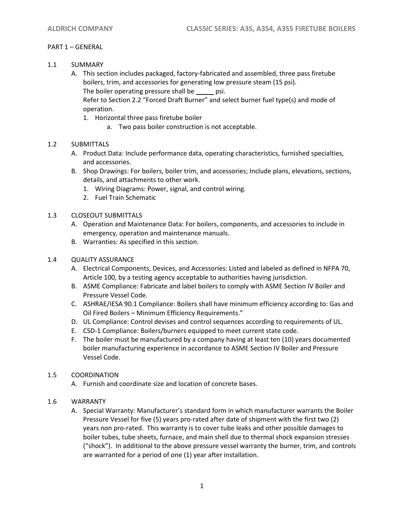# PART 1 – GENERAL

- 1.1 SUMMARY
	- A. This section includes packaged, factory-fabricated and assembled, three pass firetube boilers, trim, and accessories for generating low pressure steam (15 psi). The boiler operating pressure shall be psi.

Refer to Section 2.2 "Forced Draft Burner" and select burner fuel type(s) and mode of operation.

- 1. Horizontal three pass firetube boiler
	- a. Two pass boiler construction is not acceptable.

# 1.2 SUBMITTALS

- A. Product Data: Include performance data, operating characteristics, furnished specialties, and accessories.
- B. Shop Drawings: For boilers, boiler trim, and accessories; Include plans, elevations, sections, details, and attachments to other work.
	- 1. Wiring Diagrams: Power, signal, and control wiring.
	- 2. Fuel Train Schematic
- 1.3 CLOSEOUT SUBMITTALS
	- A. Operation and Maintenance Data: For boilers, components, and accessories to include in emergency, operation and maintenance manuals.
	- B. Warranties: As specified in this section.

# 1.4 QUALITY ASSURANCE

- A. Electrical Components, Devices, and Accessories: Listed and labeled as defined in NFPA 70, Article 100, by a testing agency acceptable to authorities having jurisdiction.
- B. ASME Compliance: Fabricate and label boilers to comply with ASME Section IV Boiler and Pressure Vessel Code.
- C. ASHRAE/IESA 90.1 Compliance: Boilers shall have minimum efficiency according to: Gas and Oil Fired Boilers – Minimum Efficiency Requirements."
- D. UL Compliance: Control devises and control sequences according to requirements of UL.
- E. CSD-1 Compliance: Boilers/burners equipped to meet current state code.
- F. The boiler must be manufactured by a company having at least ten (10) years documented boiler manufacturing experience in accordance to ASME Section IV Boiler and Pressure Vessel Code.

## 1.5 COORDINATION

A. Furnish and coordinate size and location of concrete bases.

## 1.6 WARRANTY

A. Special Warranty: Manufacturer's standard form in which manufacturer warrants the Boiler Pressure Vessel for five (5) years pro-rated after date of shipment with the first two (2) years non pro-rated. This warranty is to cover tube leaks and other possible damages to boiler tubes, tube sheets, furnace, and main shell due to thermal shock expansion stresses ("shock"). In additional to the above pressure vessel warranty the burner, trim, and controls are warranted for a period of one (1) year after installation.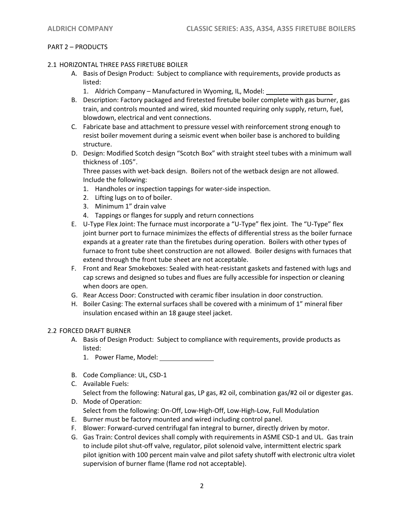# PART 2 – PRODUCTS

#### 2.1 HORIZONTAL THREE PASS FIRETUBE BOILER

- A. Basis of Design Product: Subject to compliance with requirements, provide products as listed:
	- 1. Aldrich Company Manufactured in Wyoming, IL, Model:
- B. Description: Factory packaged and firetested firetube boiler complete with gas burner, gas train, and controls mounted and wired, skid mounted requiring only supply, return, fuel, blowdown, electrical and vent connections.
- C. Fabricate base and attachment to pressure vessel with reinforcement strong enough to resist boiler movement during a seismic event when boiler base is anchored to building structure.
- D. Design: Modified Scotch design "Scotch Box" with straight steel tubes with a minimum wall thickness of .105".

Three passes with wet-back design. Boilers not of the wetback design are not allowed. Include the following:

- 1. Handholes or inspection tappings for water-side inspection.
- 2. Lifting lugs on to of boiler.
- 3. Minimum 1" drain valve
- 4. Tappings or flanges for supply and return connections
- E. U-Type Flex Joint: The furnace must incorporate a "U-Type" flex joint. The "U-Type" flex joint burner port to furnace minimizes the effects of differential stress as the boiler furnace expands at a greater rate than the firetubes during operation. Boilers with other types of furnace to front tube sheet construction are not allowed. Boiler designs with furnaces that extend through the front tube sheet are not acceptable.
- F. Front and Rear Smokeboxes: Sealed with heat-resistant gaskets and fastened with lugs and cap screws and designed so tubes and flues are fully accessible for inspection or cleaning when doors are open.
- G. Rear Access Door: Constructed with ceramic fiber insulation in door construction.
- H. Boiler Casing: The external surfaces shall be covered with a minimum of 1" mineral fiber insulation encased within an 18 gauge steel jacket.

## 2.2 FORCED DRAFT BURNER

- A. Basis of Design Product: Subject to compliance with requirements, provide products as listed:
	- 1. Power Flame, Model:
- B. Code Compliance: UL, CSD-1
- C. Available Fuels:

Select from the following: Natural gas, LP gas, #2 oil, combination gas/#2 oil or digester gas. D. Mode of Operation:

- Select from the following: On-Off, Low-High-Off, Low-High-Low, Full Modulation
- E. Burner must be factory mounted and wired including control panel.
- F. Blower: Forward-curved centrifugal fan integral to burner, directly driven by motor.
- G. Gas Train: Control devices shall comply with requirements in ASME CSD-1 and UL. Gas train to include pilot shut-off valve, regulator, pilot solenoid valve, intermittent electric spark pilot ignition with 100 percent main valve and pilot safety shutoff with electronic ultra violet supervision of burner flame (flame rod not acceptable).